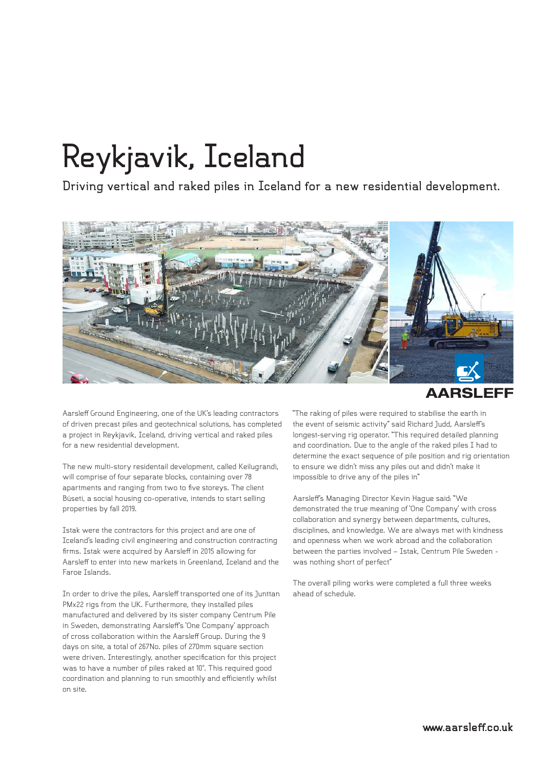## **Reykjavik, Iceland**

**Driving vertical and raked piles in Iceland for a new residential development.**



**AARSLEFF** 

Aarsleff Ground Engineering, one of the UK's leading contractors of driven precast piles and geotechnical solutions, has completed a project in Reykjavik, Iceland, driving vertical and raked piles for a new residential development.

The new multi-story residentail development, called Keilugrandi, will comprise of four separate blocks, containing over 78 apartments and ranging from two to five storeys. The client Búseti, a social housing co-operative, intends to start selling properties by fall 2019.

Istak were the contractors for this project and are one of Iceland's leading civil engineering and construction contracting firms. Istak were acquired by Aarsleff in 2015 allowing for Aarsleff to enter into new markets in Greenland, Iceland and the Faroe Islands.

In order to drive the piles, Aarsleff transported one of its Junttan PMx22 rigs from the UK. Furthermore, they installed piles manufactured and delivered by its sister company Centrum Pile in Sweden, demonstrating Aarsleff's 'One Company' approach of cross collaboration within the Aarsleff Group. During the 9 days on site, a total of 267No. piles of 270mm square section were driven. Interestingly, another specification for this project was to have a number of piles raked at 10°. This required good coordination and planning to run smoothly and efficiently whilst on site.

"The raking of piles were required to stabilise the earth in the event of seismic activity" said Richard Judd, Aarsleff's longest-serving rig operator. "This required detailed planning and coordination. Due to the angle of the raked piles I had to determine the exact sequence of pile position and rig orientation to ensure we didn't miss any piles out and didn't make it impossible to drive any of the piles in"

Aarsleff's Managing Director Kevin Hague said: "We demonstrated the true meaning of 'One Company' with cross collaboration and synergy between departments, cultures, disciplines, and knowledge. We are always met with kindness and openness when we work abroad and the collaboration between the parties involved – Istak, Centrum Pile Sweden was nothing short of perfect"

The overall piling works were completed a full three weeks ahead of schedule.